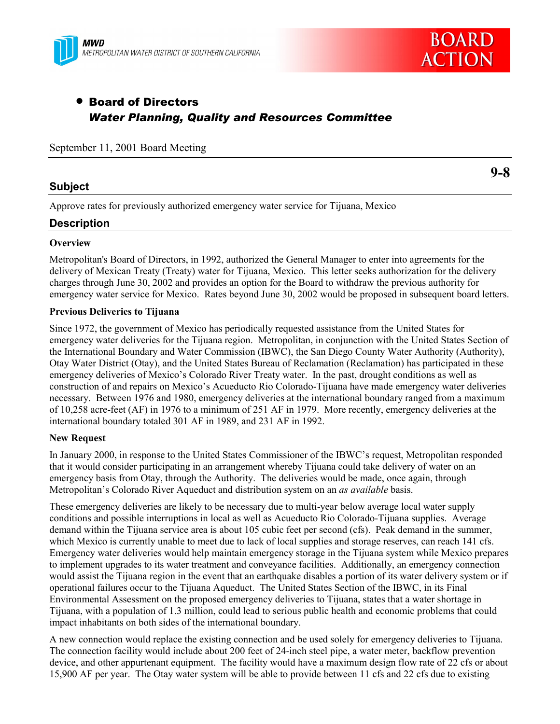



**9-8**

# • Board of Directors *Water Planning, Quality and Resources Committee*

| September 11, 2001 Board Meeting |  |  |  |  |  |
|----------------------------------|--|--|--|--|--|
|----------------------------------|--|--|--|--|--|

## **Subject**

Approve rates for previously authorized emergency water service for Tijuana, Mexico

## **Description**

#### **Overview**

Metropolitan's Board of Directors, in 1992, authorized the General Manager to enter into agreements for the delivery of Mexican Treaty (Treaty) water for Tijuana, Mexico. This letter seeks authorization for the delivery charges through June 30, 2002 and provides an option for the Board to withdraw the previous authority for emergency water service for Mexico. Rates beyond June 30, 2002 would be proposed in subsequent board letters.

#### **Previous Deliveries to Tijuana**

Since 1972, the government of Mexico has periodically requested assistance from the United States for emergency water deliveries for the Tijuana region. Metropolitan, in conjunction with the United States Section of the International Boundary and Water Commission (IBWC), the San Diego County Water Authority (Authority), Otay Water District (Otay), and the United States Bureau of Reclamation (Reclamation) has participated in these emergency deliveries of Mexico's Colorado River Treaty water. In the past, drought conditions as well as construction of and repairs on Mexico's Acueducto Rio Colorado-Tijuana have made emergency water deliveries necessary. Between 1976 and 1980, emergency deliveries at the international boundary ranged from a maximum of 10,258 acre-feet (AF) in 1976 to a minimum of 251 AF in 1979. More recently, emergency deliveries at the international boundary totaled 301 AF in 1989, and 231 AF in 1992.

#### **New Request**

In January 2000, in response to the United States Commissioner of the IBWC's request, Metropolitan responded that it would consider participating in an arrangement whereby Tijuana could take delivery of water on an emergency basis from Otay, through the Authority. The deliveries would be made, once again, through Metropolitanís Colorado River Aqueduct and distribution system on an *as available* basis.

These emergency deliveries are likely to be necessary due to multi-year below average local water supply conditions and possible interruptions in local as well as Acueducto Rio Colorado-Tijuana supplies. Average demand within the Tijuana service area is about 105 cubic feet per second (cfs). Peak demand in the summer, which Mexico is currently unable to meet due to lack of local supplies and storage reserves, can reach 141 cfs. Emergency water deliveries would help maintain emergency storage in the Tijuana system while Mexico prepares to implement upgrades to its water treatment and conveyance facilities. Additionally, an emergency connection would assist the Tijuana region in the event that an earthquake disables a portion of its water delivery system or if operational failures occur to the Tijuana Aqueduct. The United States Section of the IBWC, in its Final Environmental Assessment on the proposed emergency deliveries to Tijuana, states that a water shortage in Tijuana, with a population of 1.3 million, could lead to serious public health and economic problems that could impact inhabitants on both sides of the international boundary.

A new connection would replace the existing connection and be used solely for emergency deliveries to Tijuana. The connection facility would include about 200 feet of 24-inch steel pipe, a water meter, backflow prevention device, and other appurtenant equipment. The facility would have a maximum design flow rate of 22 cfs or about 15,900 AF per year. The Otay water system will be able to provide between 11 cfs and 22 cfs due to existing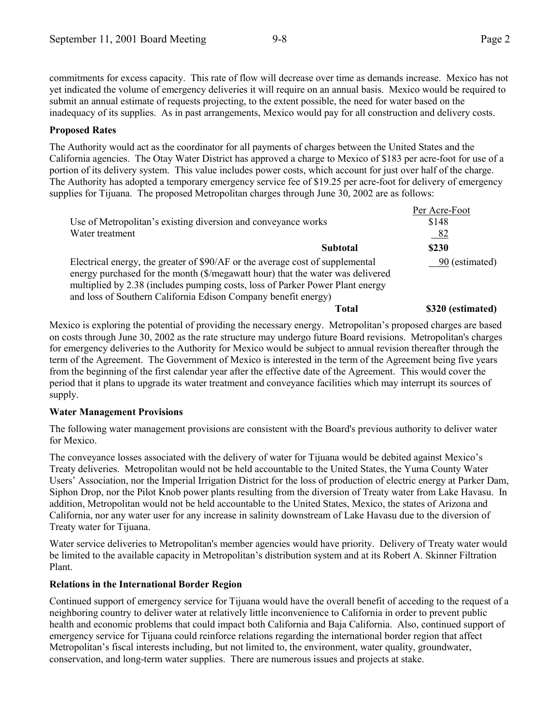commitments for excess capacity. This rate of flow will decrease over time as demands increase. Mexico has not yet indicated the volume of emergency deliveries it will require on an annual basis. Mexico would be required to submit an annual estimate of requests projecting, to the extent possible, the need for water based on the inadequacy of its supplies.As in past arrangements, Mexico would pay for all construction and delivery costs.

#### **Proposed Rates**

The Authority would act as the coordinator for all payments of charges between the United States and the California agencies. The Otay Water District has approved a charge to Mexico of \$183 per acre-foot for use of a portion of its delivery system. This value includes power costs, which account for just over half of the charge. The Authority has adopted a temporary emergency service fee of \$19.25 per acre-foot for delivery of emergency supplies for Tijuana. The proposed Metropolitan charges through June 30, 2002 are as follows:

|                                                                                                                                                                                                                                                  | Per Acre-Foot     |
|--------------------------------------------------------------------------------------------------------------------------------------------------------------------------------------------------------------------------------------------------|-------------------|
| Use of Metropolitan's existing diversion and conveyance works                                                                                                                                                                                    | \$148             |
| Water treatment                                                                                                                                                                                                                                  | <u>82</u>         |
| Subtotal                                                                                                                                                                                                                                         | \$230             |
| Electrical energy, the greater of \$90/AF or the average cost of supplemental<br>energy purchased for the month (\$/megawatt hour) that the water was delivered<br>multiplied by 2.38 (includes pumping costs, loss of Parker Power Plant energy | 90 (estimated)    |
| and loss of Southern California Edison Company benefit energy)                                                                                                                                                                                   |                   |
| Total                                                                                                                                                                                                                                            | \$320 (estimated) |

Mexico is exploring the potential of providing the necessary energy. Metropolitanís proposed charges are based on costs through June 30, 2002 as the rate structure may undergo future Board revisions. Metropolitan's charges for emergency deliveries to the Authority for Mexico would be subject to annual revision thereafter through the term of the Agreement. The Government of Mexico is interested in the term of the Agreement being five years from the beginning of the first calendar year after the effective date of the Agreement. This would cover the period that it plans to upgrade its water treatment and conveyance facilities which may interrupt its sources of supply.

## **Water Management Provisions**

The following water management provisions are consistent with the Board's previous authority to deliver water for Mexico.

The conveyance losses associated with the delivery of water for Tijuana would be debited against Mexico's Treaty deliveries. Metropolitan would not be held accountable to the United States, the Yuma County Water Users' Association, nor the Imperial Irrigation District for the loss of production of electric energy at Parker Dam, Siphon Drop, nor the Pilot Knob power plants resulting from the diversion of Treaty water from Lake Havasu. In addition, Metropolitan would not be held accountable to the United States, Mexico, the states of Arizona and California, nor any water user for any increase in salinity downstream of Lake Havasu due to the diversion of Treaty water for Tijuana.

Water service deliveries to Metropolitan's member agencies would have priority. Delivery of Treaty water would be limited to the available capacity in Metropolitan's distribution system and at its Robert A. Skinner Filtration Plant.

#### **Relations in the International Border Region**

Continued support of emergency service for Tijuana would have the overall benefit of acceding to the request of a neighboring country to deliver water at relatively little inconvenience to California in order to prevent public health and economic problems that could impact both California and Baja California. Also, continued support of emergency service for Tijuana could reinforce relations regarding the international border region that affect Metropolitan's fiscal interests including, but not limited to, the environment, water quality, groundwater, conservation, and long-term water supplies. There are numerous issues and projects at stake.